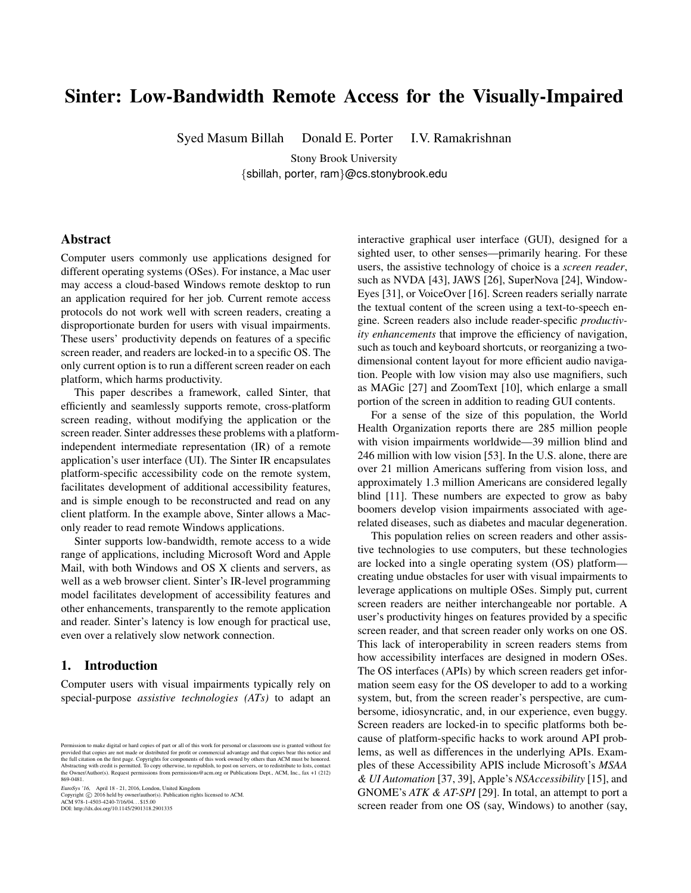# Sinter: Low-Bandwidth Remote Access for the Visually-Impaired

Syed Masum Billah Donald E. Porter I.V. Ramakrishnan

Stony Brook University {sbillah, porter, ram}@cs.stonybrook.edu

## Abstract

Computer users commonly use applications designed for different operating systems (OSes). For instance, a Mac user may access a cloud-based Windows remote desktop to run an application required for her job. Current remote access protocols do not work well with screen readers, creating a disproportionate burden for users with visual impairments. These users' productivity depends on features of a specific screen reader, and readers are locked-in to a specific OS. The only current option is to run a different screen reader on each platform, which harms productivity.

This paper describes a framework, called Sinter, that efficiently and seamlessly supports remote, cross-platform screen reading, without modifying the application or the screen reader. Sinter addresses these problems with a platformindependent intermediate representation (IR) of a remote application's user interface (UI). The Sinter IR encapsulates platform-specific accessibility code on the remote system, facilitates development of additional accessibility features, and is simple enough to be reconstructed and read on any client platform. In the example above, Sinter allows a Maconly reader to read remote Windows applications.

Sinter supports low-bandwidth, remote access to a wide range of applications, including Microsoft Word and Apple Mail, with both Windows and OS X clients and servers, as well as a web browser client. Sinter's IR-level programming model facilitates development of accessibility features and other enhancements, transparently to the remote application and reader. Sinter's latency is low enough for practical use, even over a relatively slow network connection.

## 1. Introduction

Computer users with visual impairments typically rely on special-purpose *assistive technologies (ATs)* to adapt an

EuroSys '16, April 18 - 21, 2016, London, United Kingdom Copyright c 2016 held by owner/author(s). Publication rights licensed to ACM. ACM 978-1-4503-4240-7/16/04. . . \$15.00 DOI: http://dx.doi.org/10.1145/2901318.2901335

interactive graphical user interface (GUI), designed for a sighted user, to other senses—primarily hearing. For these users, the assistive technology of choice is a *screen reader*, such as NVDA [43], JAWS [26], SuperNova [24], Window-Eyes [31], or VoiceOver [16]. Screen readers serially narrate the textual content of the screen using a text-to-speech engine. Screen readers also include reader-specific *productivity enhancements* that improve the efficiency of navigation, such as touch and keyboard shortcuts, or reorganizing a twodimensional content layout for more efficient audio navigation. People with low vision may also use magnifiers, such as MAGic [27] and ZoomText [10], which enlarge a small portion of the screen in addition to reading GUI contents.

For a sense of the size of this population, the World Health Organization reports there are 285 million people with vision impairments worldwide—39 million blind and 246 million with low vision [53]. In the U.S. alone, there are over 21 million Americans suffering from vision loss, and approximately 1.3 million Americans are considered legally blind [11]. These numbers are expected to grow as baby boomers develop vision impairments associated with agerelated diseases, such as diabetes and macular degeneration.

This population relies on screen readers and other assistive technologies to use computers, but these technologies are locked into a single operating system (OS) platform creating undue obstacles for user with visual impairments to leverage applications on multiple OSes. Simply put, current screen readers are neither interchangeable nor portable. A user's productivity hinges on features provided by a specific screen reader, and that screen reader only works on one OS. This lack of interoperability in screen readers stems from how accessibility interfaces are designed in modern OSes. The OS interfaces (APIs) by which screen readers get information seem easy for the OS developer to add to a working system, but, from the screen reader's perspective, are cumbersome, idiosyncratic, and, in our experience, even buggy. Screen readers are locked-in to specific platforms both because of platform-specific hacks to work around API problems, as well as differences in the underlying APIs. Examples of these Accessibility APIS include Microsoft's *MSAA & UI Automation* [37, 39], Apple's *NSAccessibility* [15], and GNOME's *ATK & AT-SPI* [29]. In total, an attempt to port a screen reader from one OS (say, Windows) to another (say,

Permission to make digital or hard copies of part or all of this work for personal or classroom use is granted without fee<br>provided that copies are not made or distributed for profit or commercial advantage and that copies 869-0481.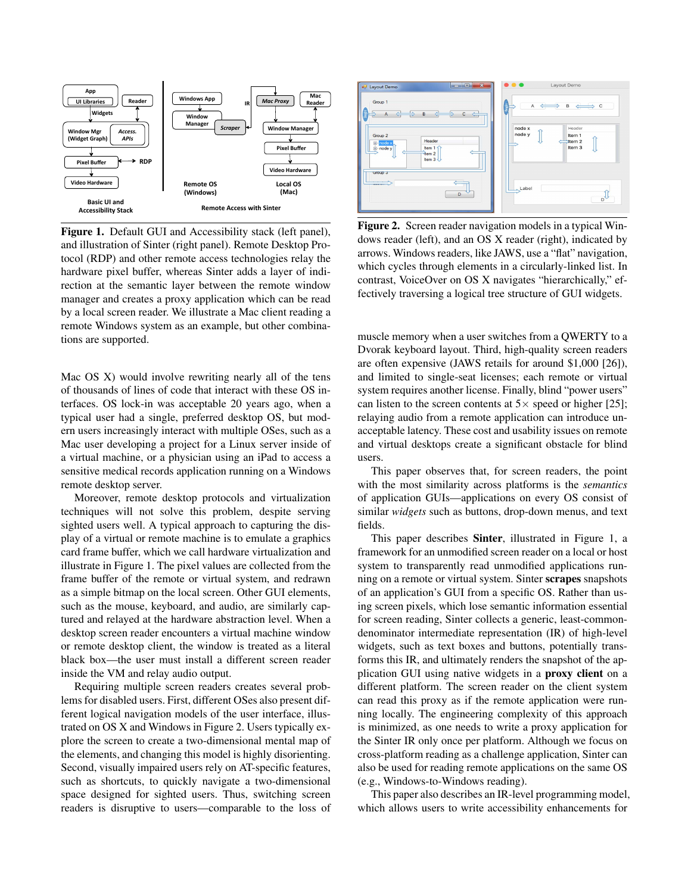

Figure 1. Default GUI and Accessibility stack (left panel), and illustration of Sinter (right panel). Remote Desktop Protocol (RDP) and other remote access technologies relay the hardware pixel buffer, whereas Sinter adds a layer of indirection at the semantic layer between the remote window manager and creates a proxy application which can be read by a local screen reader. We illustrate a Mac client reading a remote Windows system as an example, but other combinations are supported.

Mac OS X) would involve rewriting nearly all of the tens of thousands of lines of code that interact with these OS interfaces. OS lock-in was acceptable 20 years ago, when a typical user had a single, preferred desktop OS, but modern users increasingly interact with multiple OSes, such as a Mac user developing a project for a Linux server inside of a virtual machine, or a physician using an iPad to access a sensitive medical records application running on a Windows remote desktop server.

Moreover, remote desktop protocols and virtualization techniques will not solve this problem, despite serving sighted users well. A typical approach to capturing the display of a virtual or remote machine is to emulate a graphics card frame buffer, which we call hardware virtualization and illustrate in Figure 1. The pixel values are collected from the frame buffer of the remote or virtual system, and redrawn as a simple bitmap on the local screen. Other GUI elements, such as the mouse, keyboard, and audio, are similarly captured and relayed at the hardware abstraction level. When a desktop screen reader encounters a virtual machine window or remote desktop client, the window is treated as a literal black box—the user must install a different screen reader inside the VM and relay audio output.

Requiring multiple screen readers creates several problems for disabled users. First, different OSes also present different logical navigation models of the user interface, illustrated on OS X and Windows in Figure 2. Users typically explore the screen to create a two-dimensional mental map of the elements, and changing this model is highly disorienting. Second, visually impaired users rely on AT-specific features, such as shortcuts, to quickly navigate a two-dimensional space designed for sighted users. Thus, switching screen readers is disruptive to users—comparable to the loss of



Figure 2. Screen reader navigation models in a typical Windows reader (left), and an OS X reader (right), indicated by arrows. Windows readers, like JAWS, use a "flat" navigation, which cycles through elements in a circularly-linked list. In contrast, VoiceOver on OS X navigates "hierarchically," effectively traversing a logical tree structure of GUI widgets.

muscle memory when a user switches from a QWERTY to a Dvorak keyboard layout. Third, high-quality screen readers are often expensive (JAWS retails for around \$1,000 [26]), and limited to single-seat licenses; each remote or virtual system requires another license. Finally, blind "power users" can listen to the screen contents at  $5 \times$  speed or higher [25]; relaying audio from a remote application can introduce unacceptable latency. These cost and usability issues on remote and virtual desktops create a significant obstacle for blind users.

This paper observes that, for screen readers, the point with the most similarity across platforms is the *semantics* of application GUIs—applications on every OS consist of similar *widgets* such as buttons, drop-down menus, and text fields.

This paper describes Sinter, illustrated in Figure 1, a framework for an unmodified screen reader on a local or host system to transparently read unmodified applications running on a remote or virtual system. Sinter scrapes snapshots of an application's GUI from a specific OS. Rather than using screen pixels, which lose semantic information essential for screen reading, Sinter collects a generic, least-commondenominator intermediate representation (IR) of high-level widgets, such as text boxes and buttons, potentially transforms this IR, and ultimately renders the snapshot of the application GUI using native widgets in a proxy client on a different platform. The screen reader on the client system can read this proxy as if the remote application were running locally. The engineering complexity of this approach is minimized, as one needs to write a proxy application for the Sinter IR only once per platform. Although we focus on cross-platform reading as a challenge application, Sinter can also be used for reading remote applications on the same OS (e.g., Windows-to-Windows reading).

This paper also describes an IR-level programming model, which allows users to write accessibility enhancements for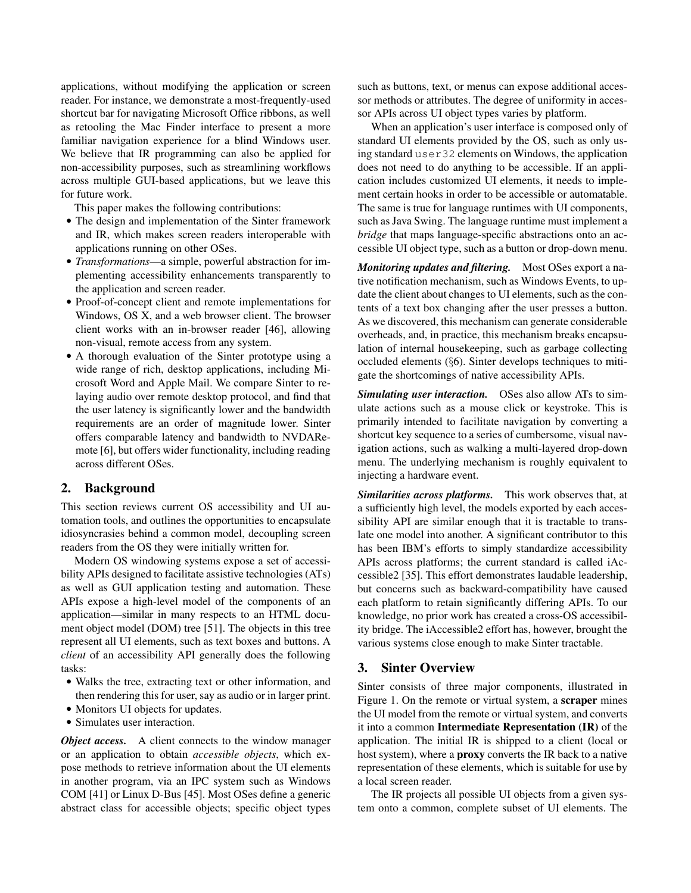applications, without modifying the application or screen reader. For instance, we demonstrate a most-frequently-used shortcut bar for navigating Microsoft Office ribbons, as well as retooling the Mac Finder interface to present a more familiar navigation experience for a blind Windows user. We believe that IR programming can also be applied for non-accessibility purposes, such as streamlining workflows across multiple GUI-based applications, but we leave this for future work.

This paper makes the following contributions:

- The design and implementation of the Sinter framework and IR, which makes screen readers interoperable with applications running on other OSes.
- *Transformations*—a simple, powerful abstraction for implementing accessibility enhancements transparently to the application and screen reader.
- Proof-of-concept client and remote implementations for Windows, OS X, and a web browser client. The browser client works with an in-browser reader [46], allowing non-visual, remote access from any system.
- A thorough evaluation of the Sinter prototype using a wide range of rich, desktop applications, including Microsoft Word and Apple Mail. We compare Sinter to relaying audio over remote desktop protocol, and find that the user latency is significantly lower and the bandwidth requirements are an order of magnitude lower. Sinter offers comparable latency and bandwidth to NVDARemote [6], but offers wider functionality, including reading across different OSes.

#### 2. Background

This section reviews current OS accessibility and UI automation tools, and outlines the opportunities to encapsulate idiosyncrasies behind a common model, decoupling screen readers from the OS they were initially written for.

Modern OS windowing systems expose a set of accessibility APIs designed to facilitate assistive technologies (ATs) as well as GUI application testing and automation. These APIs expose a high-level model of the components of an application—similar in many respects to an HTML document object model (DOM) tree [51]. The objects in this tree represent all UI elements, such as text boxes and buttons. A *client* of an accessibility API generally does the following tasks:

- Walks the tree, extracting text or other information, and then rendering this for user, say as audio or in larger print.
- Monitors UI objects for updates.
- Simulates user interaction.

*Object access.* A client connects to the window manager or an application to obtain *accessible objects*, which expose methods to retrieve information about the UI elements in another program, via an IPC system such as Windows COM [41] or Linux D-Bus [45]. Most OSes define a generic abstract class for accessible objects; specific object types

such as buttons, text, or menus can expose additional accessor methods or attributes. The degree of uniformity in accessor APIs across UI object types varies by platform.

When an application's user interface is composed only of standard UI elements provided by the OS, such as only using standard user32 elements on Windows, the application does not need to do anything to be accessible. If an application includes customized UI elements, it needs to implement certain hooks in order to be accessible or automatable. The same is true for language runtimes with UI components, such as Java Swing. The language runtime must implement a *bridge* that maps language-specific abstractions onto an accessible UI object type, such as a button or drop-down menu.

*Monitoring updates and filtering.* Most OSes export a native notification mechanism, such as Windows Events, to update the client about changes to UI elements, such as the contents of a text box changing after the user presses a button. As we discovered, this mechanism can generate considerable overheads, and, in practice, this mechanism breaks encapsulation of internal housekeeping, such as garbage collecting occluded elements (§6). Sinter develops techniques to mitigate the shortcomings of native accessibility APIs.

*Simulating user interaction.* OSes also allow ATs to simulate actions such as a mouse click or keystroke. This is primarily intended to facilitate navigation by converting a shortcut key sequence to a series of cumbersome, visual navigation actions, such as walking a multi-layered drop-down menu. The underlying mechanism is roughly equivalent to injecting a hardware event.

*Similarities across platforms.* This work observes that, at a sufficiently high level, the models exported by each accessibility API are similar enough that it is tractable to translate one model into another. A significant contributor to this has been IBM's efforts to simply standardize accessibility APIs across platforms; the current standard is called iAccessible2 [35]. This effort demonstrates laudable leadership, but concerns such as backward-compatibility have caused each platform to retain significantly differing APIs. To our knowledge, no prior work has created a cross-OS accessibility bridge. The iAccessible2 effort has, however, brought the various systems close enough to make Sinter tractable.

## 3. Sinter Overview

Sinter consists of three major components, illustrated in Figure 1. On the remote or virtual system, a scraper mines the UI model from the remote or virtual system, and converts it into a common Intermediate Representation (IR) of the application. The initial IR is shipped to a client (local or host system), where a proxy converts the IR back to a native representation of these elements, which is suitable for use by a local screen reader.

The IR projects all possible UI objects from a given system onto a common, complete subset of UI elements. The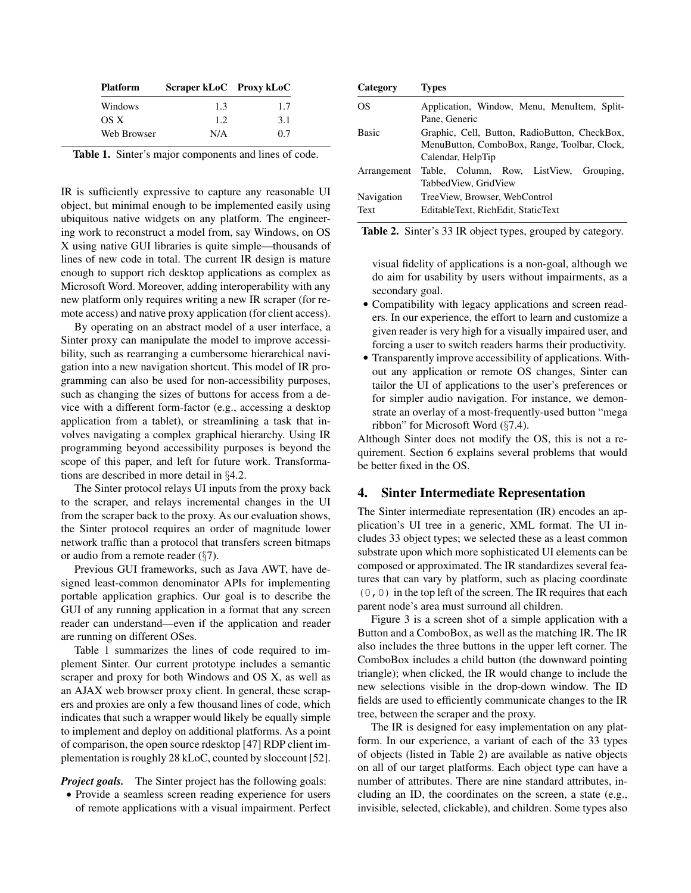| <b>Platform</b> | Scraper kLoC Proxy kLoC |     |  |
|-----------------|-------------------------|-----|--|
| Windows         | 1.3                     | 1.7 |  |
| OS X            | 12                      | 31  |  |
| Web Browser     | N/A                     | 0.7 |  |

Table 1. Sinter's major components and lines of code.

IR is sufficiently expressive to capture any reasonable UI object, but minimal enough to be implemented easily using ubiquitous native widgets on any platform. The engineering work to reconstruct a model from, say Windows, on OS X using native GUI libraries is quite simple—thousands of lines of new code in total. The current IR design is mature enough to support rich desktop applications as complex as Microsoft Word. Moreover, adding interoperability with any new platform only requires writing a new IR scraper (for remote access) and native proxy application (for client access).

By operating on an abstract model of a user interface, a Sinter proxy can manipulate the model to improve accessibility, such as rearranging a cumbersome hierarchical navigation into a new navigation shortcut. This model of IR programming can also be used for non-accessibility purposes, such as changing the sizes of buttons for access from a device with a different form-factor (e.g., accessing a desktop application from a tablet), or streamlining a task that involves navigating a complex graphical hierarchy. Using IR programming beyond accessibility purposes is beyond the scope of this paper, and left for future work. Transformations are described in more detail in §4.2.

The Sinter protocol relays UI inputs from the proxy back to the scraper, and relays incremental changes in the UI from the scraper back to the proxy. As our evaluation shows, the Sinter protocol requires an order of magnitude lower network traffic than a protocol that transfers screen bitmaps or audio from a remote reader (§7).

Previous GUI frameworks, such as Java AWT, have designed least-common denominator APIs for implementing portable application graphics. Our goal is to describe the GUI of any running application in a format that any screen reader can understand—even if the application and reader are running on different OSes.

Table 1 summarizes the lines of code required to implement Sinter. Our current prototype includes a semantic scraper and proxy for both Windows and OS X, as well as an AJAX web browser proxy client. In general, these scrapers and proxies are only a few thousand lines of code, which indicates that such a wrapper would likely be equally simple to implement and deploy on additional platforms. As a point of comparison, the open source rdesktop [47] RDP client implementation is roughly 28 kLoC, counted by sloccount [52].

*Project goals.* The Sinter project has the following goals:

• Provide a seamless screen reading experience for users of remote applications with a visual impairment. Perfect

| Category     | <i>i</i> vpes                                 |
|--------------|-----------------------------------------------|
| <b>OS</b>    | Application, Window, Menu, MenuItem, Split-   |
|              | Pane, Generic                                 |
| <b>Basic</b> | Graphic, Cell, Button, RadioButton, CheckBox, |
|              | MenuButton, ComboBox, Range, Toolbar, Clock,  |
|              | Calendar, HelpTip                             |
| Arrangement  | Table, Column, Row, ListView, Grouping,       |
|              | Tabbed View, Grid View                        |
| Navigation   | TreeView, Browser, WebControl                 |
| Text         | EditableText, RichEdit, StaticText            |

 $C_{\text{S}}$  Category Types Types  $T$ 

Table 2. Sinter's 33 IR object types, grouped by category.

visual fidelity of applications is a non-goal, although we do aim for usability by users without impairments, as a secondary goal.

- Compatibility with legacy applications and screen readers. In our experience, the effort to learn and customize a given reader is very high for a visually impaired user, and forcing a user to switch readers harms their productivity.
- Transparently improve accessibility of applications. Without any application or remote OS changes, Sinter can tailor the UI of applications to the user's preferences or for simpler audio navigation. For instance, we demonstrate an overlay of a most-frequently-used button "mega ribbon" for Microsoft Word (§7.4).

Although Sinter does not modify the OS, this is not a requirement. Section 6 explains several problems that would be better fixed in the OS.

## 4. Sinter Intermediate Representation

The Sinter intermediate representation (IR) encodes an application's UI tree in a generic, XML format. The UI includes 33 object types; we selected these as a least common substrate upon which more sophisticated UI elements can be composed or approximated. The IR standardizes several features that can vary by platform, such as placing coordinate  $(0, 0)$  in the top left of the screen. The IR requires that each parent node's area must surround all children.

Figure 3 is a screen shot of a simple application with a Button and a ComboBox, as well as the matching IR. The IR also includes the three buttons in the upper left corner. The ComboBox includes a child button (the downward pointing triangle); when clicked, the IR would change to include the new selections visible in the drop-down window. The ID fields are used to efficiently communicate changes to the IR tree, between the scraper and the proxy.

The IR is designed for easy implementation on any platform. In our experience, a variant of each of the 33 types of objects (listed in Table 2) are available as native objects on all of our target platforms. Each object type can have a number of attributes. There are nine standard attributes, including an ID, the coordinates on the screen, a state (e.g., invisible, selected, clickable), and children. Some types also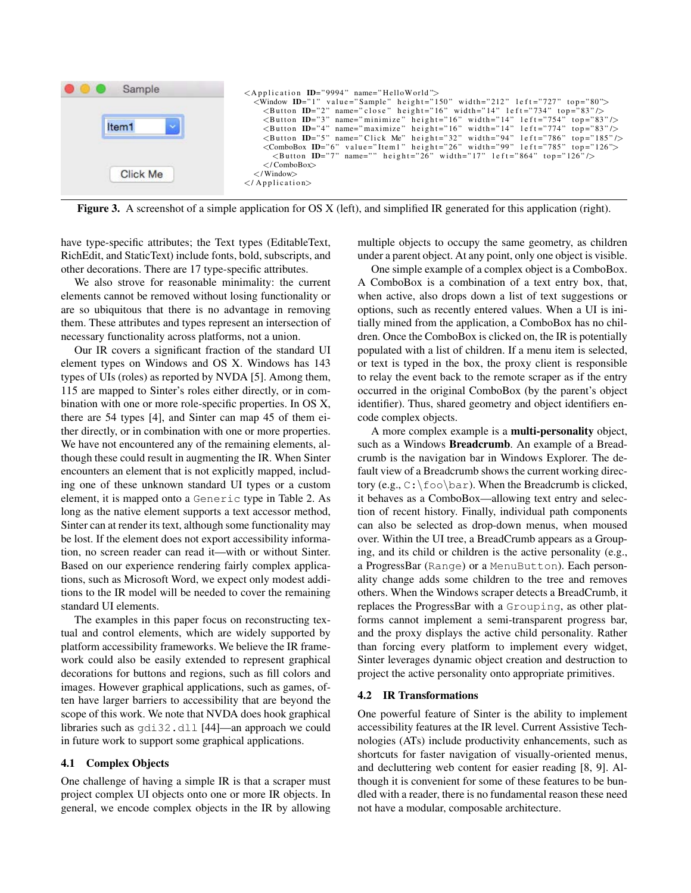

Figure 3. A screenshot of a simple application for OS X (left), and simplified IR generated for this application (right).

have type-specific attributes; the Text types (EditableText, RichEdit, and StaticText) include fonts, bold, subscripts, and other decorations. There are 17 type-specific attributes.

We also strove for reasonable minimality: the current elements cannot be removed without losing functionality or are so ubiquitous that there is no advantage in removing them. These attributes and types represent an intersection of necessary functionality across platforms, not a union.

Our IR covers a significant fraction of the standard UI element types on Windows and OS X. Windows has 143 types of UIs (roles) as reported by NVDA [5]. Among them, 115 are mapped to Sinter's roles either directly, or in combination with one or more role-specific properties. In OS X, there are 54 types [4], and Sinter can map 45 of them either directly, or in combination with one or more properties. We have not encountered any of the remaining elements, although these could result in augmenting the IR. When Sinter encounters an element that is not explicitly mapped, including one of these unknown standard UI types or a custom element, it is mapped onto a Generic type in Table 2. As long as the native element supports a text accessor method, Sinter can at render its text, although some functionality may be lost. If the element does not export accessibility information, no screen reader can read it—with or without Sinter. Based on our experience rendering fairly complex applications, such as Microsoft Word, we expect only modest additions to the IR model will be needed to cover the remaining standard UI elements.

The examples in this paper focus on reconstructing textual and control elements, which are widely supported by platform accessibility frameworks. We believe the IR framework could also be easily extended to represent graphical decorations for buttons and regions, such as fill colors and images. However graphical applications, such as games, often have larger barriers to accessibility that are beyond the scope of this work. We note that NVDA does hook graphical libraries such as gdi32.dll [44]—an approach we could in future work to support some graphical applications.

#### 4.1 Complex Objects

One challenge of having a simple IR is that a scraper must project complex UI objects onto one or more IR objects. In general, we encode complex objects in the IR by allowing multiple objects to occupy the same geometry, as children under a parent object. At any point, only one object is visible.

One simple example of a complex object is a ComboBox. A ComboBox is a combination of a text entry box, that, when active, also drops down a list of text suggestions or options, such as recently entered values. When a UI is initially mined from the application, a ComboBox has no children. Once the ComboBox is clicked on, the IR is potentially populated with a list of children. If a menu item is selected, or text is typed in the box, the proxy client is responsible to relay the event back to the remote scraper as if the entry occurred in the original ComboBox (by the parent's object identifier). Thus, shared geometry and object identifiers encode complex objects.

A more complex example is a multi-personality object, such as a Windows Breadcrumb. An example of a Breadcrumb is the navigation bar in Windows Explorer. The default view of a Breadcrumb shows the current working directory (e.g.,  $C:\text{Eoo\bar{)}$ . When the Breadcrumb is clicked, it behaves as a ComboBox—allowing text entry and selection of recent history. Finally, individual path components can also be selected as drop-down menus, when moused over. Within the UI tree, a BreadCrumb appears as a Grouping, and its child or children is the active personality (e.g., a ProgressBar (Range) or a MenuButton). Each personality change adds some children to the tree and removes others. When the Windows scraper detects a BreadCrumb, it replaces the ProgressBar with a Grouping, as other platforms cannot implement a semi-transparent progress bar, and the proxy displays the active child personality. Rather than forcing every platform to implement every widget, Sinter leverages dynamic object creation and destruction to project the active personality onto appropriate primitives.

#### 4.2 IR Transformations

One powerful feature of Sinter is the ability to implement accessibility features at the IR level. Current Assistive Technologies (ATs) include productivity enhancements, such as shortcuts for faster navigation of visually-oriented menus, and decluttering web content for easier reading [8, 9]. Although it is convenient for some of these features to be bundled with a reader, there is no fundamental reason these need not have a modular, composable architecture.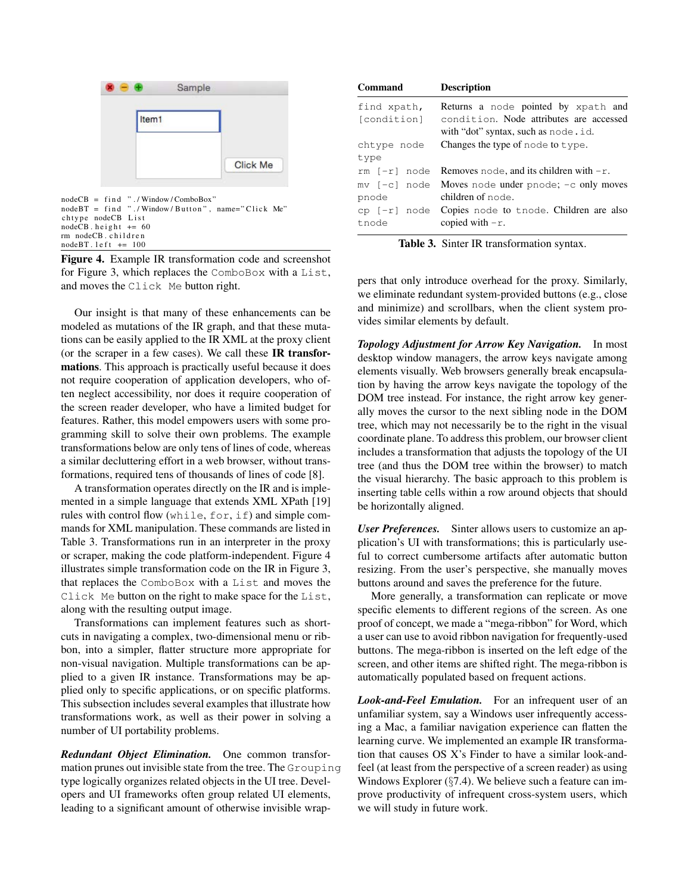

Figure 4. Example IR transformation code and screenshot for Figure 3, which replaces the ComboBox with a List, and moves the Click Me button right.

Our insight is that many of these enhancements can be modeled as mutations of the IR graph, and that these mutations can be easily applied to the IR XML at the proxy client (or the scraper in a few cases). We call these IR transformations. This approach is practically useful because it does not require cooperation of application developers, who often neglect accessibility, nor does it require cooperation of the screen reader developer, who have a limited budget for features. Rather, this model empowers users with some programming skill to solve their own problems. The example transformations below are only tens of lines of code, whereas a similar decluttering effort in a web browser, without transformations, required tens of thousands of lines of code [8].

A transformation operates directly on the IR and is implemented in a simple language that extends XML XPath [19] rules with control flow (while, for, if) and simple commands for XML manipulation. These commands are listed in Table 3. Transformations run in an interpreter in the proxy or scraper, making the code platform-independent. Figure 4 illustrates simple transformation code on the IR in Figure 3, that replaces the ComboBox with a List and moves the Click Me button on the right to make space for the List, along with the resulting output image.

Transformations can implement features such as shortcuts in navigating a complex, two-dimensional menu or ribbon, into a simpler, flatter structure more appropriate for non-visual navigation. Multiple transformations can be applied to a given IR instance. Transformations may be applied only to specific applications, or on specific platforms. This subsection includes several examples that illustrate how transformations work, as well as their power in solving a number of UI portability problems.

*Redundant Object Elimination.* One common transformation prunes out invisible state from the tree. The Grouping type logically organizes related objects in the UI tree. Developers and UI frameworks often group related UI elements, leading to a significant amount of otherwise invisible wrap-

| <b>Command</b>             | <b>Description</b>                                                                                                    |
|----------------------------|-----------------------------------------------------------------------------------------------------------------------|
| find xpath,<br>[condition] | Returns a node pointed by xpath and<br>condition. Node attributes are accessed<br>with "dot" syntax, such as node.id. |
| chtype node<br>type        | Changes the type of node to type.                                                                                     |
|                            | rm $[-r]$ node Removes node, and its children with $-r$ .                                                             |
| pnode                      | $mv$ [-c] node Moves node under pnode; -c only moves<br>children of node.                                             |
| tnode                      | $cp$ $[-r]$ node Copies node to tnode. Children are also<br>copied with $-r$ .                                        |

Table 3. Sinter IR transformation syntax.

pers that only introduce overhead for the proxy. Similarly, we eliminate redundant system-provided buttons (e.g., close and minimize) and scrollbars, when the client system provides similar elements by default.

*Topology Adjustment for Arrow Key Navigation.* In most desktop window managers, the arrow keys navigate among elements visually. Web browsers generally break encapsulation by having the arrow keys navigate the topology of the DOM tree instead. For instance, the right arrow key generally moves the cursor to the next sibling node in the DOM tree, which may not necessarily be to the right in the visual coordinate plane. To address this problem, our browser client includes a transformation that adjusts the topology of the UI tree (and thus the DOM tree within the browser) to match the visual hierarchy. The basic approach to this problem is inserting table cells within a row around objects that should be horizontally aligned.

*User Preferences.* Sinter allows users to customize an application's UI with transformations; this is particularly useful to correct cumbersome artifacts after automatic button resizing. From the user's perspective, she manually moves buttons around and saves the preference for the future.

More generally, a transformation can replicate or move specific elements to different regions of the screen. As one proof of concept, we made a "mega-ribbon" for Word, which a user can use to avoid ribbon navigation for frequently-used buttons. The mega-ribbon is inserted on the left edge of the screen, and other items are shifted right. The mega-ribbon is automatically populated based on frequent actions.

*Look-and-Feel Emulation.* For an infrequent user of an unfamiliar system, say a Windows user infrequently accessing a Mac, a familiar navigation experience can flatten the learning curve. We implemented an example IR transformation that causes OS X's Finder to have a similar look-andfeel (at least from the perspective of a screen reader) as using Windows Explorer (§7.4). We believe such a feature can improve productivity of infrequent cross-system users, which we will study in future work.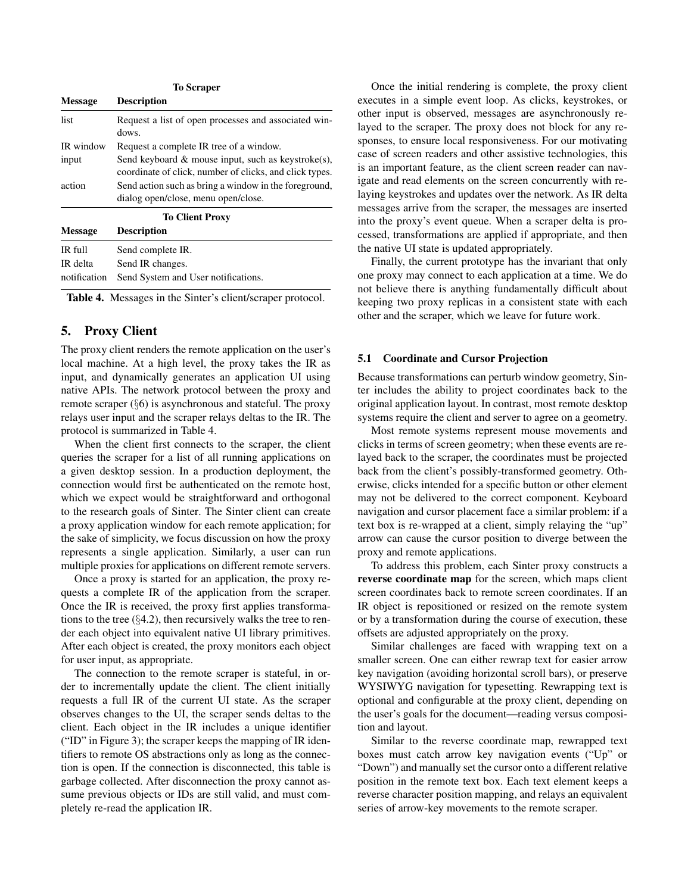| <b>To Scraper</b> |                                                                                                                  |  |  |  |  |
|-------------------|------------------------------------------------------------------------------------------------------------------|--|--|--|--|
| <b>Message</b>    | <b>Description</b>                                                                                               |  |  |  |  |
| list              | Request a list of open processes and associated win-<br>dows.                                                    |  |  |  |  |
| IR window         | Request a complete IR tree of a window.                                                                          |  |  |  |  |
| input             | Send keyboard $\&$ mouse input, such as keystroke(s),<br>coordinate of click, number of clicks, and click types. |  |  |  |  |
| action            | Send action such as bring a window in the foreground,<br>dialog open/close, menu open/close.                     |  |  |  |  |
|                   | <b>To Client Proxy</b>                                                                                           |  |  |  |  |
| <b>Message</b>    | <b>Description</b>                                                                                               |  |  |  |  |
| IR full           | Send complete IR.                                                                                                |  |  |  |  |
| IR delta          | Send IR changes.                                                                                                 |  |  |  |  |
| notification      | Send System and User notifications.                                                                              |  |  |  |  |

Table 4. Messages in the Sinter's client/scraper protocol.

## 5. Proxy Client

The proxy client renders the remote application on the user's local machine. At a high level, the proxy takes the IR as input, and dynamically generates an application UI using native APIs. The network protocol between the proxy and remote scraper (§6) is asynchronous and stateful. The proxy relays user input and the scraper relays deltas to the IR. The protocol is summarized in Table 4.

When the client first connects to the scraper, the client queries the scraper for a list of all running applications on a given desktop session. In a production deployment, the connection would first be authenticated on the remote host, which we expect would be straightforward and orthogonal to the research goals of Sinter. The Sinter client can create a proxy application window for each remote application; for the sake of simplicity, we focus discussion on how the proxy represents a single application. Similarly, a user can run multiple proxies for applications on different remote servers.

Once a proxy is started for an application, the proxy requests a complete IR of the application from the scraper. Once the IR is received, the proxy first applies transformations to the tree  $(\S 4.2)$ , then recursively walks the tree to render each object into equivalent native UI library primitives. After each object is created, the proxy monitors each object for user input, as appropriate.

The connection to the remote scraper is stateful, in order to incrementally update the client. The client initially requests a full IR of the current UI state. As the scraper observes changes to the UI, the scraper sends deltas to the client. Each object in the IR includes a unique identifier ("ID" in Figure 3); the scraper keeps the mapping of IR identifiers to remote OS abstractions only as long as the connection is open. If the connection is disconnected, this table is garbage collected. After disconnection the proxy cannot assume previous objects or IDs are still valid, and must completely re-read the application IR.

Once the initial rendering is complete, the proxy client executes in a simple event loop. As clicks, keystrokes, or other input is observed, messages are asynchronously relayed to the scraper. The proxy does not block for any responses, to ensure local responsiveness. For our motivating case of screen readers and other assistive technologies, this is an important feature, as the client screen reader can navigate and read elements on the screen concurrently with relaying keystrokes and updates over the network. As IR delta messages arrive from the scraper, the messages are inserted into the proxy's event queue. When a scraper delta is processed, transformations are applied if appropriate, and then the native UI state is updated appropriately.

Finally, the current prototype has the invariant that only one proxy may connect to each application at a time. We do not believe there is anything fundamentally difficult about keeping two proxy replicas in a consistent state with each other and the scraper, which we leave for future work.

#### 5.1 Coordinate and Cursor Projection

Because transformations can perturb window geometry, Sinter includes the ability to project coordinates back to the original application layout. In contrast, most remote desktop systems require the client and server to agree on a geometry.

Most remote systems represent mouse movements and clicks in terms of screen geometry; when these events are relayed back to the scraper, the coordinates must be projected back from the client's possibly-transformed geometry. Otherwise, clicks intended for a specific button or other element may not be delivered to the correct component. Keyboard navigation and cursor placement face a similar problem: if a text box is re-wrapped at a client, simply relaying the "up" arrow can cause the cursor position to diverge between the proxy and remote applications.

To address this problem, each Sinter proxy constructs a reverse coordinate map for the screen, which maps client screen coordinates back to remote screen coordinates. If an IR object is repositioned or resized on the remote system or by a transformation during the course of execution, these offsets are adjusted appropriately on the proxy.

Similar challenges are faced with wrapping text on a smaller screen. One can either rewrap text for easier arrow key navigation (avoiding horizontal scroll bars), or preserve WYSIWYG navigation for typesetting. Rewrapping text is optional and configurable at the proxy client, depending on the user's goals for the document—reading versus composition and layout.

Similar to the reverse coordinate map, rewrapped text boxes must catch arrow key navigation events ("Up" or "Down") and manually set the cursor onto a different relative position in the remote text box. Each text element keeps a reverse character position mapping, and relays an equivalent series of arrow-key movements to the remote scraper.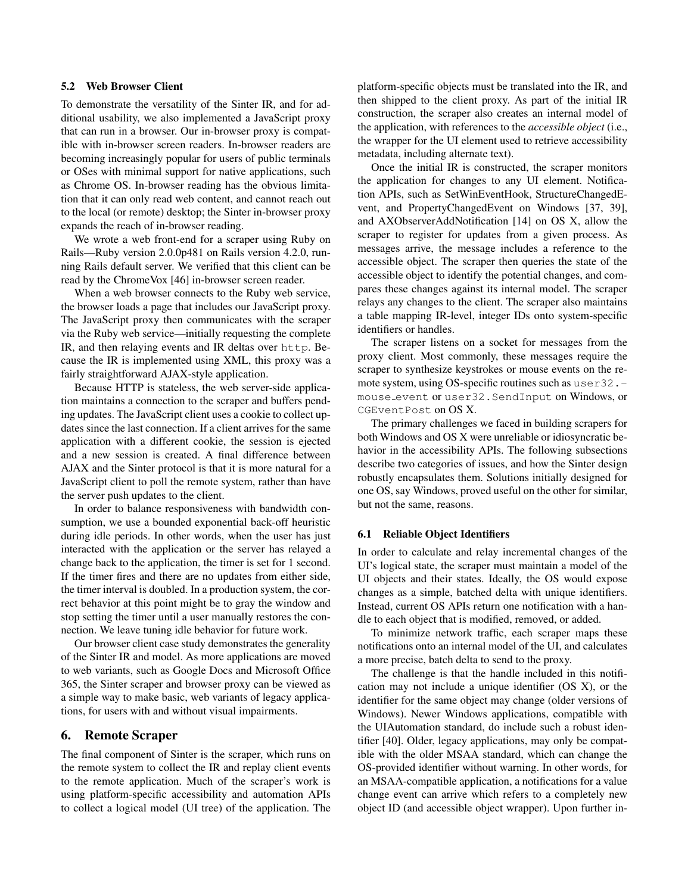## 5.2 Web Browser Client

To demonstrate the versatility of the Sinter IR, and for additional usability, we also implemented a JavaScript proxy that can run in a browser. Our in-browser proxy is compatible with in-browser screen readers. In-browser readers are becoming increasingly popular for users of public terminals or OSes with minimal support for native applications, such as Chrome OS. In-browser reading has the obvious limitation that it can only read web content, and cannot reach out to the local (or remote) desktop; the Sinter in-browser proxy expands the reach of in-browser reading.

We wrote a web front-end for a scraper using Ruby on Rails—Ruby version 2.0.0p481 on Rails version 4.2.0, running Rails default server. We verified that this client can be read by the ChromeVox [46] in-browser screen reader.

When a web browser connects to the Ruby web service, the browser loads a page that includes our JavaScript proxy. The JavaScript proxy then communicates with the scraper via the Ruby web service—initially requesting the complete IR, and then relaying events and IR deltas over http. Because the IR is implemented using XML, this proxy was a fairly straightforward AJAX-style application.

Because HTTP is stateless, the web server-side application maintains a connection to the scraper and buffers pending updates. The JavaScript client uses a cookie to collect updates since the last connection. If a client arrives for the same application with a different cookie, the session is ejected and a new session is created. A final difference between AJAX and the Sinter protocol is that it is more natural for a JavaScript client to poll the remote system, rather than have the server push updates to the client.

In order to balance responsiveness with bandwidth consumption, we use a bounded exponential back-off heuristic during idle periods. In other words, when the user has just interacted with the application or the server has relayed a change back to the application, the timer is set for 1 second. If the timer fires and there are no updates from either side, the timer interval is doubled. In a production system, the correct behavior at this point might be to gray the window and stop setting the timer until a user manually restores the connection. We leave tuning idle behavior for future work.

Our browser client case study demonstrates the generality of the Sinter IR and model. As more applications are moved to web variants, such as Google Docs and Microsoft Office 365, the Sinter scraper and browser proxy can be viewed as a simple way to make basic, web variants of legacy applications, for users with and without visual impairments.

#### 6. Remote Scraper

The final component of Sinter is the scraper, which runs on the remote system to collect the IR and replay client events to the remote application. Much of the scraper's work is using platform-specific accessibility and automation APIs to collect a logical model (UI tree) of the application. The platform-specific objects must be translated into the IR, and then shipped to the client proxy. As part of the initial IR construction, the scraper also creates an internal model of the application, with references to the *accessible object* (i.e., the wrapper for the UI element used to retrieve accessibility metadata, including alternate text).

Once the initial IR is constructed, the scraper monitors the application for changes to any UI element. Notification APIs, such as SetWinEventHook, StructureChangedEvent, and PropertyChangedEvent on Windows [37, 39], and AXObserverAddNotification [14] on OS X, allow the scraper to register for updates from a given process. As messages arrive, the message includes a reference to the accessible object. The scraper then queries the state of the accessible object to identify the potential changes, and compares these changes against its internal model. The scraper relays any changes to the client. The scraper also maintains a table mapping IR-level, integer IDs onto system-specific identifiers or handles.

The scraper listens on a socket for messages from the proxy client. Most commonly, these messages require the scraper to synthesize keystrokes or mouse events on the remote system, using OS-specific routines such as user32. mouse event or user32.SendInput on Windows, or CGEventPost on OS X.

The primary challenges we faced in building scrapers for both Windows and OS X were unreliable or idiosyncratic behavior in the accessibility APIs. The following subsections describe two categories of issues, and how the Sinter design robustly encapsulates them. Solutions initially designed for one OS, say Windows, proved useful on the other for similar, but not the same, reasons.

#### 6.1 Reliable Object Identifiers

In order to calculate and relay incremental changes of the UI's logical state, the scraper must maintain a model of the UI objects and their states. Ideally, the OS would expose changes as a simple, batched delta with unique identifiers. Instead, current OS APIs return one notification with a handle to each object that is modified, removed, or added.

To minimize network traffic, each scraper maps these notifications onto an internal model of the UI, and calculates a more precise, batch delta to send to the proxy.

The challenge is that the handle included in this notification may not include a unique identifier (OS X), or the identifier for the same object may change (older versions of Windows). Newer Windows applications, compatible with the UIAutomation standard, do include such a robust identifier [40]. Older, legacy applications, may only be compatible with the older MSAA standard, which can change the OS-provided identifier without warning. In other words, for an MSAA-compatible application, a notifications for a value change event can arrive which refers to a completely new object ID (and accessible object wrapper). Upon further in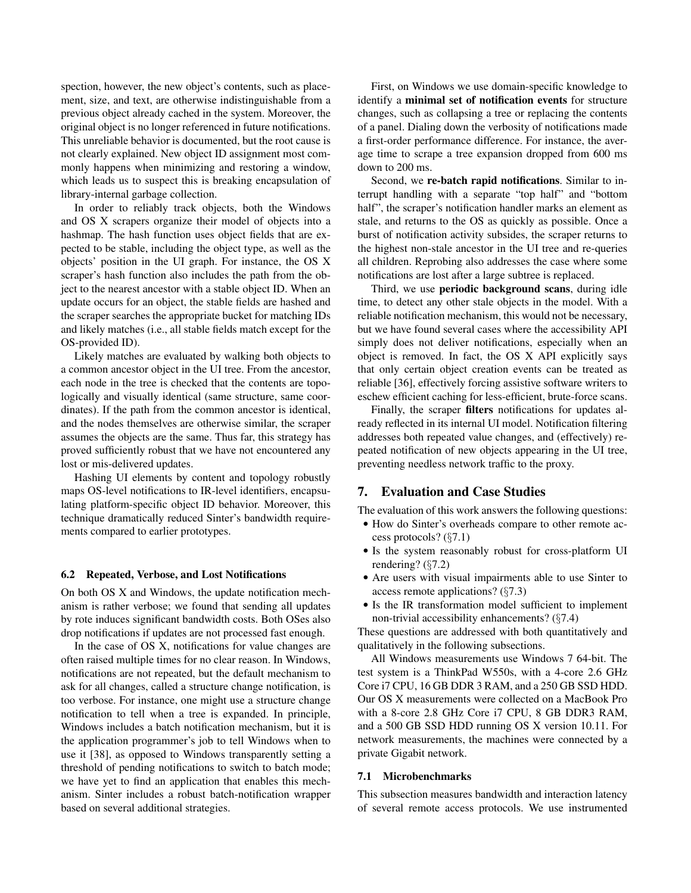spection, however, the new object's contents, such as placement, size, and text, are otherwise indistinguishable from a previous object already cached in the system. Moreover, the original object is no longer referenced in future notifications. This unreliable behavior is documented, but the root cause is not clearly explained. New object ID assignment most commonly happens when minimizing and restoring a window, which leads us to suspect this is breaking encapsulation of library-internal garbage collection.

In order to reliably track objects, both the Windows and OS X scrapers organize their model of objects into a hashmap. The hash function uses object fields that are expected to be stable, including the object type, as well as the objects' position in the UI graph. For instance, the OS X scraper's hash function also includes the path from the object to the nearest ancestor with a stable object ID. When an update occurs for an object, the stable fields are hashed and the scraper searches the appropriate bucket for matching IDs and likely matches (i.e., all stable fields match except for the OS-provided ID).

Likely matches are evaluated by walking both objects to a common ancestor object in the UI tree. From the ancestor, each node in the tree is checked that the contents are topologically and visually identical (same structure, same coordinates). If the path from the common ancestor is identical, and the nodes themselves are otherwise similar, the scraper assumes the objects are the same. Thus far, this strategy has proved sufficiently robust that we have not encountered any lost or mis-delivered updates.

Hashing UI elements by content and topology robustly maps OS-level notifications to IR-level identifiers, encapsulating platform-specific object ID behavior. Moreover, this technique dramatically reduced Sinter's bandwidth requirements compared to earlier prototypes.

#### 6.2 Repeated, Verbose, and Lost Notifications

On both OS X and Windows, the update notification mechanism is rather verbose; we found that sending all updates by rote induces significant bandwidth costs. Both OSes also drop notifications if updates are not processed fast enough.

In the case of OS X, notifications for value changes are often raised multiple times for no clear reason. In Windows, notifications are not repeated, but the default mechanism to ask for all changes, called a structure change notification, is too verbose. For instance, one might use a structure change notification to tell when a tree is expanded. In principle, Windows includes a batch notification mechanism, but it is the application programmer's job to tell Windows when to use it [38], as opposed to Windows transparently setting a threshold of pending notifications to switch to batch mode; we have yet to find an application that enables this mechanism. Sinter includes a robust batch-notification wrapper based on several additional strategies.

First, on Windows we use domain-specific knowledge to identify a minimal set of notification events for structure changes, such as collapsing a tree or replacing the contents of a panel. Dialing down the verbosity of notifications made a first-order performance difference. For instance, the average time to scrape a tree expansion dropped from 600 ms down to 200 ms.

Second, we re-batch rapid notifications. Similar to interrupt handling with a separate "top half" and "bottom half", the scraper's notification handler marks an element as stale, and returns to the OS as quickly as possible. Once a burst of notification activity subsides, the scraper returns to the highest non-stale ancestor in the UI tree and re-queries all children. Reprobing also addresses the case where some notifications are lost after a large subtree is replaced.

Third, we use periodic background scans, during idle time, to detect any other stale objects in the model. With a reliable notification mechanism, this would not be necessary, but we have found several cases where the accessibility API simply does not deliver notifications, especially when an object is removed. In fact, the OS X API explicitly says that only certain object creation events can be treated as reliable [36], effectively forcing assistive software writers to eschew efficient caching for less-efficient, brute-force scans.

Finally, the scraper filters notifications for updates already reflected in its internal UI model. Notification filtering addresses both repeated value changes, and (effectively) repeated notification of new objects appearing in the UI tree, preventing needless network traffic to the proxy.

## 7. Evaluation and Case Studies

The evaluation of this work answers the following questions:

- How do Sinter's overheads compare to other remote access protocols? (§7.1)
- Is the system reasonably robust for cross-platform UI rendering? (§7.2)
- Are users with visual impairments able to use Sinter to access remote applications? (§7.3)
- Is the IR transformation model sufficient to implement non-trivial accessibility enhancements? (§7.4)

These questions are addressed with both quantitatively and qualitatively in the following subsections.

All Windows measurements use Windows 7 64-bit. The test system is a ThinkPad W550s, with a 4-core 2.6 GHz Core i7 CPU, 16 GB DDR 3 RAM, and a 250 GB SSD HDD. Our OS X measurements were collected on a MacBook Pro with a 8-core 2.8 GHz Core i7 CPU, 8 GB DDR3 RAM, and a 500 GB SSD HDD running OS X version 10.11. For network measurements, the machines were connected by a private Gigabit network.

#### 7.1 Microbenchmarks

This subsection measures bandwidth and interaction latency of several remote access protocols. We use instrumented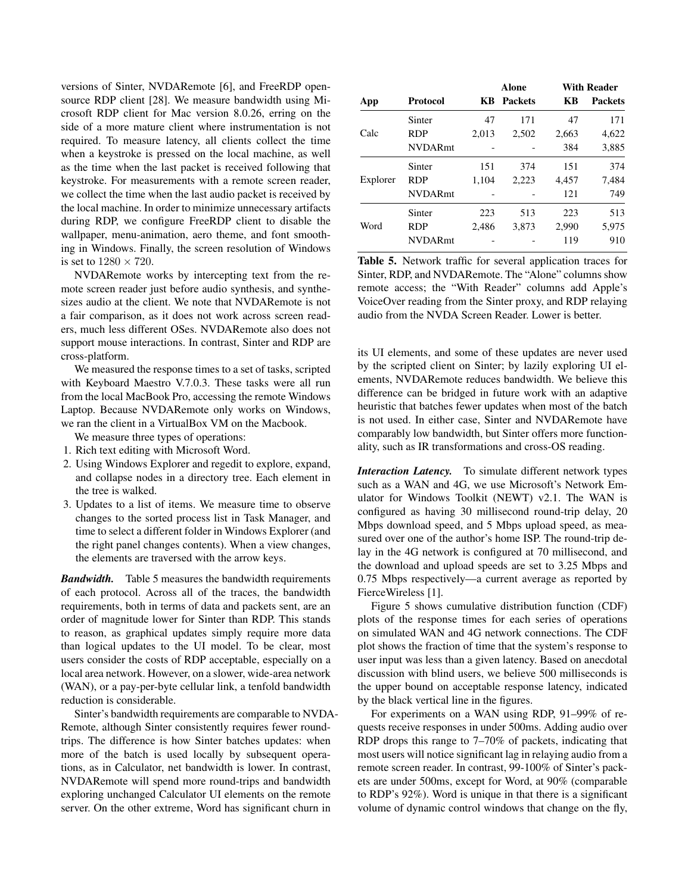versions of Sinter, NVDARemote [6], and FreeRDP opensource RDP client [28]. We measure bandwidth using Microsoft RDP client for Mac version 8.0.26, erring on the side of a more mature client where instrumentation is not required. To measure latency, all clients collect the time when a keystroke is pressed on the local machine, as well as the time when the last packet is received following that keystroke. For measurements with a remote screen reader, we collect the time when the last audio packet is received by the local machine. In order to minimize unnecessary artifacts during RDP, we configure FreeRDP client to disable the wallpaper, menu-animation, aero theme, and font smoothing in Windows. Finally, the screen resolution of Windows is set to  $1280 \times 720$ .

NVDARemote works by intercepting text from the remote screen reader just before audio synthesis, and synthesizes audio at the client. We note that NVDARemote is not a fair comparison, as it does not work across screen readers, much less different OSes. NVDARemote also does not support mouse interactions. In contrast, Sinter and RDP are cross-platform.

We measured the response times to a set of tasks, scripted with Keyboard Maestro V.7.0.3. These tasks were all run from the local MacBook Pro, accessing the remote Windows Laptop. Because NVDARemote only works on Windows, we ran the client in a VirtualBox VM on the Macbook.

We measure three types of operations:

- 1. Rich text editing with Microsoft Word.
- 2. Using Windows Explorer and regedit to explore, expand, and collapse nodes in a directory tree. Each element in the tree is walked.
- 3. Updates to a list of items. We measure time to observe changes to the sorted process list in Task Manager, and time to select a different folder in Windows Explorer (and the right panel changes contents). When a view changes, the elements are traversed with the arrow keys.

*Bandwidth.* Table 5 measures the bandwidth requirements of each protocol. Across all of the traces, the bandwidth requirements, both in terms of data and packets sent, are an order of magnitude lower for Sinter than RDP. This stands to reason, as graphical updates simply require more data than logical updates to the UI model. To be clear, most users consider the costs of RDP acceptable, especially on a local area network. However, on a slower, wide-area network (WAN), or a pay-per-byte cellular link, a tenfold bandwidth reduction is considerable.

Sinter's bandwidth requirements are comparable to NVDA-Remote, although Sinter consistently requires fewer roundtrips. The difference is how Sinter batches updates: when more of the batch is used locally by subsequent operations, as in Calculator, net bandwidth is lower. In contrast, NVDARemote will spend more round-trips and bandwidth exploring unchanged Calculator UI elements on the remote server. On the other extreme, Word has significant churn in

|          |                |       | <b>Alone</b>   |           | <b>With Reader</b> |
|----------|----------------|-------|----------------|-----------|--------------------|
| App      | Protocol       | KВ    | <b>Packets</b> | <b>KB</b> | <b>Packets</b>     |
|          | Sinter         | 47    | 171            | 47        | 171                |
| Calc     | <b>RDP</b>     | 2.013 | 2.502          | 2,663     | 4,622              |
|          | <b>NVDARmt</b> |       |                | 384       | 3,885              |
|          | Sinter         | 151   | 374            | 151       | 374                |
| Explorer | <b>RDP</b>     | 1.104 | 2,223          | 4,457     | 7,484              |
|          | <b>NVDARmt</b> |       |                | 121       | 749                |
|          | Sinter         | 223   | 513            | 223       | 513                |
| Word     | <b>RDP</b>     | 2.486 | 3.873          | 2,990     | 5,975              |
|          | <b>NVDARmt</b> |       |                | 119       | 910                |

Table 5. Network traffic for several application traces for Sinter, RDP, and NVDARemote. The "Alone" columns show remote access; the "With Reader" columns add Apple's VoiceOver reading from the Sinter proxy, and RDP relaying audio from the NVDA Screen Reader. Lower is better.

its UI elements, and some of these updates are never used by the scripted client on Sinter; by lazily exploring UI elements, NVDARemote reduces bandwidth. We believe this difference can be bridged in future work with an adaptive heuristic that batches fewer updates when most of the batch is not used. In either case, Sinter and NVDARemote have comparably low bandwidth, but Sinter offers more functionality, such as IR transformations and cross-OS reading.

*Interaction Latency.* To simulate different network types such as a WAN and 4G, we use Microsoft's Network Emulator for Windows Toolkit (NEWT) v2.1. The WAN is configured as having 30 millisecond round-trip delay, 20 Mbps download speed, and 5 Mbps upload speed, as measured over one of the author's home ISP. The round-trip delay in the 4G network is configured at 70 millisecond, and the download and upload speeds are set to 3.25 Mbps and 0.75 Mbps respectively—a current average as reported by FierceWireless [1].

Figure 5 shows cumulative distribution function (CDF) plots of the response times for each series of operations on simulated WAN and 4G network connections. The CDF plot shows the fraction of time that the system's response to user input was less than a given latency. Based on anecdotal discussion with blind users, we believe 500 milliseconds is the upper bound on acceptable response latency, indicated by the black vertical line in the figures.

For experiments on a WAN using RDP, 91–99% of requests receive responses in under 500ms. Adding audio over RDP drops this range to 7–70% of packets, indicating that most users will notice significant lag in relaying audio from a remote screen reader. In contrast, 99-100% of Sinter's packets are under 500ms, except for Word, at 90% (comparable to RDP's 92%). Word is unique in that there is a significant volume of dynamic control windows that change on the fly,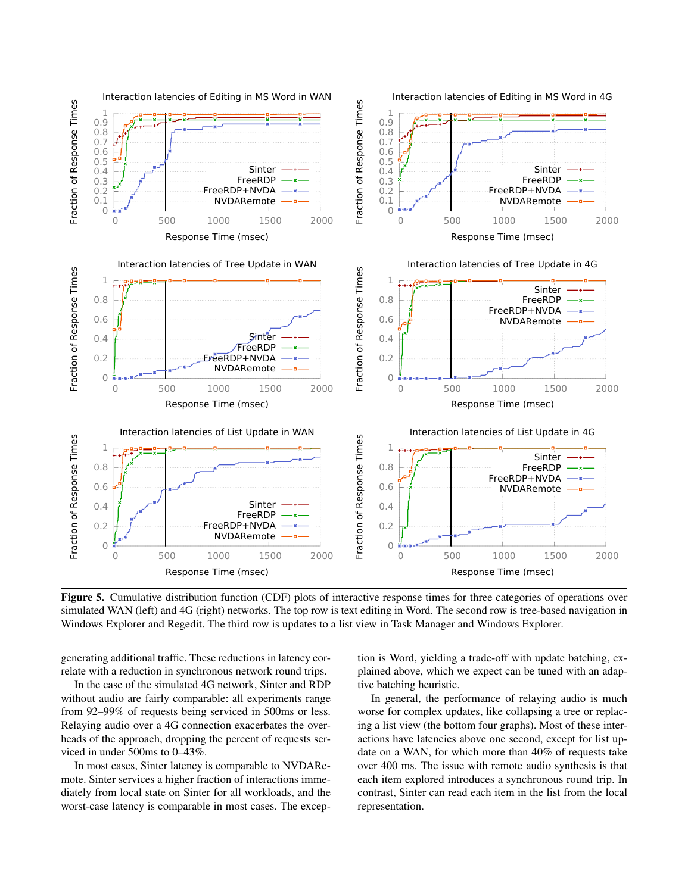

Figure 5. Cumulative distribution function (CDF) plots of interactive response times for three categories of operations over simulated WAN (left) and 4G (right) networks. The top row is text editing in Word. The second row is tree-based navigation in Windows Explorer and Regedit. The third row is updates to a list view in Task Manager and Windows Explorer.

generating additional traffic. These reductions in latency correlate with a reduction in synchronous network round trips.

In the case of the simulated 4G network, Sinter and RDP without audio are fairly comparable: all experiments range from 92–99% of requests being serviced in 500ms or less. Relaying audio over a 4G connection exacerbates the overheads of the approach, dropping the percent of requests serviced in under 500ms to 0–43%.

In most cases, Sinter latency is comparable to NVDARemote. Sinter services a higher fraction of interactions immediately from local state on Sinter for all workloads, and the worst-case latency is comparable in most cases. The exception is Word, yielding a trade-off with update batching, explained above, which we expect can be tuned with an adaptive batching heuristic.

In general, the performance of relaying audio is much worse for complex updates, like collapsing a tree or replacing a list view (the bottom four graphs). Most of these interactions have latencies above one second, except for list update on a WAN, for which more than 40% of requests take over 400 ms. The issue with remote audio synthesis is that each item explored introduces a synchronous round trip. In contrast, Sinter can read each item in the list from the local representation.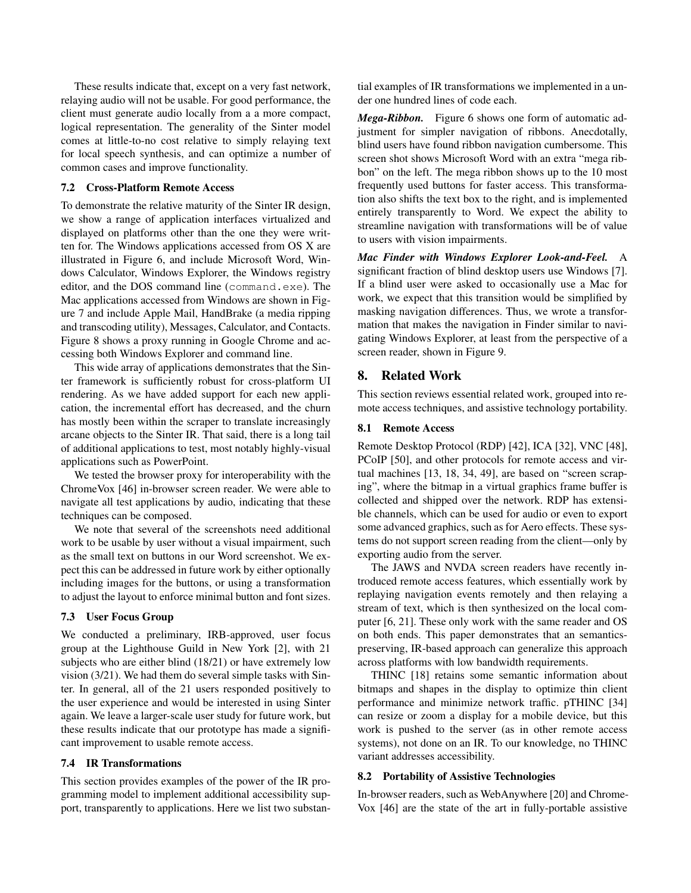These results indicate that, except on a very fast network, relaying audio will not be usable. For good performance, the client must generate audio locally from a a more compact, logical representation. The generality of the Sinter model comes at little-to-no cost relative to simply relaying text for local speech synthesis, and can optimize a number of common cases and improve functionality.

#### 7.2 Cross-Platform Remote Access

To demonstrate the relative maturity of the Sinter IR design, we show a range of application interfaces virtualized and displayed on platforms other than the one they were written for. The Windows applications accessed from OS X are illustrated in Figure 6, and include Microsoft Word, Windows Calculator, Windows Explorer, the Windows registry editor, and the DOS command line (command.exe). The Mac applications accessed from Windows are shown in Figure 7 and include Apple Mail, HandBrake (a media ripping and transcoding utility), Messages, Calculator, and Contacts. Figure 8 shows a proxy running in Google Chrome and accessing both Windows Explorer and command line.

This wide array of applications demonstrates that the Sinter framework is sufficiently robust for cross-platform UI rendering. As we have added support for each new application, the incremental effort has decreased, and the churn has mostly been within the scraper to translate increasingly arcane objects to the Sinter IR. That said, there is a long tail of additional applications to test, most notably highly-visual applications such as PowerPoint.

We tested the browser proxy for interoperability with the ChromeVox [46] in-browser screen reader. We were able to navigate all test applications by audio, indicating that these techniques can be composed.

We note that several of the screenshots need additional work to be usable by user without a visual impairment, such as the small text on buttons in our Word screenshot. We expect this can be addressed in future work by either optionally including images for the buttons, or using a transformation to adjust the layout to enforce minimal button and font sizes.

#### 7.3 User Focus Group

We conducted a preliminary, IRB-approved, user focus group at the Lighthouse Guild in New York [2], with 21 subjects who are either blind (18/21) or have extremely low vision (3/21). We had them do several simple tasks with Sinter. In general, all of the 21 users responded positively to the user experience and would be interested in using Sinter again. We leave a larger-scale user study for future work, but these results indicate that our prototype has made a significant improvement to usable remote access.

### 7.4 IR Transformations

This section provides examples of the power of the IR programming model to implement additional accessibility support, transparently to applications. Here we list two substantial examples of IR transformations we implemented in a under one hundred lines of code each.

*Mega-Ribbon.* Figure 6 shows one form of automatic adjustment for simpler navigation of ribbons. Anecdotally, blind users have found ribbon navigation cumbersome. This screen shot shows Microsoft Word with an extra "mega ribbon" on the left. The mega ribbon shows up to the 10 most frequently used buttons for faster access. This transformation also shifts the text box to the right, and is implemented entirely transparently to Word. We expect the ability to streamline navigation with transformations will be of value to users with vision impairments.

*Mac Finder with Windows Explorer Look-and-Feel.* A significant fraction of blind desktop users use Windows [7]. If a blind user were asked to occasionally use a Mac for work, we expect that this transition would be simplified by masking navigation differences. Thus, we wrote a transformation that makes the navigation in Finder similar to navigating Windows Explorer, at least from the perspective of a screen reader, shown in Figure 9.

## 8. Related Work

This section reviews essential related work, grouped into remote access techniques, and assistive technology portability.

#### 8.1 Remote Access

Remote Desktop Protocol (RDP) [42], ICA [32], VNC [48], PCoIP [50], and other protocols for remote access and virtual machines [13, 18, 34, 49], are based on "screen scraping", where the bitmap in a virtual graphics frame buffer is collected and shipped over the network. RDP has extensible channels, which can be used for audio or even to export some advanced graphics, such as for Aero effects. These systems do not support screen reading from the client—only by exporting audio from the server.

The JAWS and NVDA screen readers have recently introduced remote access features, which essentially work by replaying navigation events remotely and then relaying a stream of text, which is then synthesized on the local computer [6, 21]. These only work with the same reader and OS on both ends. This paper demonstrates that an semanticspreserving, IR-based approach can generalize this approach across platforms with low bandwidth requirements.

THINC [18] retains some semantic information about bitmaps and shapes in the display to optimize thin client performance and minimize network traffic. pTHINC [34] can resize or zoom a display for a mobile device, but this work is pushed to the server (as in other remote access systems), not done on an IR. To our knowledge, no THINC variant addresses accessibility.

#### 8.2 Portability of Assistive Technologies

In-browser readers, such as WebAnywhere [20] and Chrome-Vox [46] are the state of the art in fully-portable assistive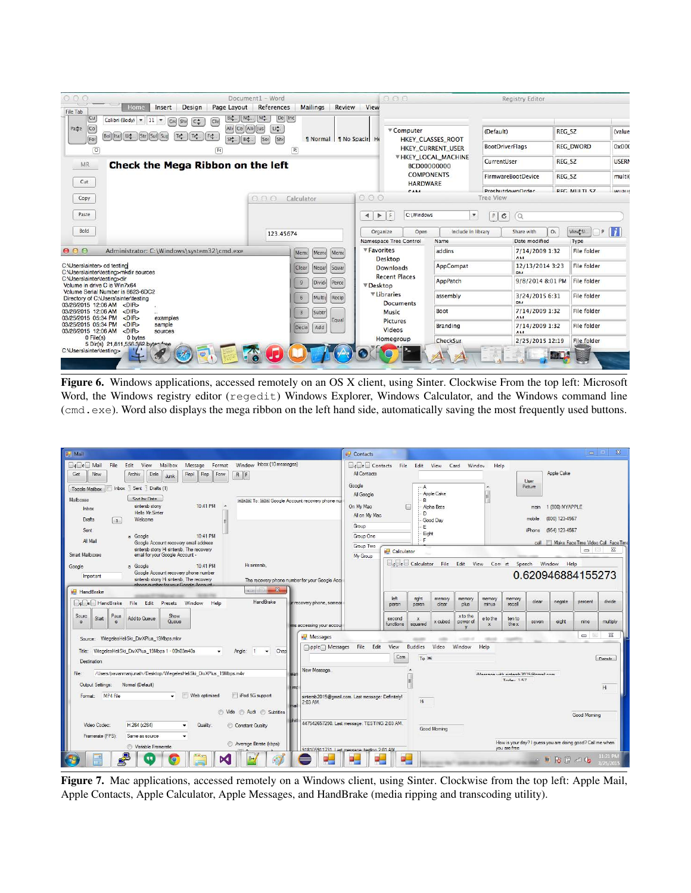| 000<br>Home<br>Design<br>Page Layout<br>Insert                                                                                                                                                                                                                                                                                                            | Document1 - Word<br>References<br><b>Mailings</b><br>Review                                                                     | 000<br>View                                                                |                                                                                   | <b>Registry Editor</b>                                |                                                             |
|-----------------------------------------------------------------------------------------------------------------------------------------------------------------------------------------------------------------------------------------------------------------------------------------------------------------------------------------------------------|---------------------------------------------------------------------------------------------------------------------------------|----------------------------------------------------------------------------|-----------------------------------------------------------------------------------|-------------------------------------------------------|-------------------------------------------------------------|
| File Tab<br>Cu<br><b>BL</b><br>Calibri (Body) $\vert \mathbf{v} \vert \vert$ 11 $\vert \mathbf{v} \vert$<br>$\boxed{\mathsf{C}$ le<br>$ $ Gro<br>$ $ Shi<br>$C_{\mathbf{v}}^*$<br>$\overline{c}$<br>Paste<br>[Bol] [Ital] [Ut] [Str] [Sul] [Sul]<br>Tet.<br>$[T_{\nabla}^{\bullet}$ $[F_{\nabla}^{\bullet}$<br>For<br>Sit.<br>$\overline{0}$<br><b>FC</b> | $M^*_{\tau}$ .<br>$De$ $ $ Inc<br>Nd.<br>Lit.<br>Ali Cei Ali Jus<br>[501]<br>[Shc]<br>1 Normal 1 No Spacir He<br>Bd.<br>$(P_i)$ | ▼ Computer                                                                 | HKEY CLASSES ROOT<br>HKEY CURRENT USER                                            | (Default)<br><b>BootDriverFlags</b>                   | REG SZ<br><i>(value</i><br><b>REG DWORD</b><br>0x000        |
| Check the Mega Ribbon on the left<br><b>MR</b><br>Cut                                                                                                                                                                                                                                                                                                     |                                                                                                                                 |                                                                            | <b>▼HKEY_LOCAL_MACHINE</b><br>BCD00000000<br><b>COMPONENTS</b><br><b>HARDWARE</b> | CurrentUser<br>FirmwareBootDevice                     | <b>USERN</b><br>REG_SZ<br>REG SZ<br><i>multi</i>            |
| Copy<br>Paste                                                                                                                                                                                                                                                                                                                                             | 000<br>Calculator                                                                                                               | CAMA<br>000<br>C:\Windows<br>F<br>$\blacktriangleleft$<br>$\triangleright$ | $\overline{\mathbf{v}}$                                                           | PreshutdownOrder<br><b>Tree View</b><br>Ċ<br>P<br>(Q) | REC. MULTL SZ<br><b>MUALIS</b>                              |
| Bold                                                                                                                                                                                                                                                                                                                                                      | 123.45674                                                                                                                       | Organize<br>Namespace Tree Control                                         | Include in library<br>Open<br>Name                                                | Share with<br>Date modified                           | $\vert i \vert$<br>View\$SI.<br>O <sub>1</sub><br>P<br>Type |
| 000<br>Administrator: C:\Windows\system32\cmd.exe                                                                                                                                                                                                                                                                                                         | Memo<br>Memo<br>Memo                                                                                                            | ▼ Favorites<br>Desktop                                                     | addins                                                                            | 7/14/2009 1:32<br><b>AMA</b>                          | File folder                                                 |
| C:\Users\sinter> cd testing<br>C:\Users\sinter\testing>mkdir sources                                                                                                                                                                                                                                                                                      | Clear<br>Squar<br>Negat                                                                                                         | <b>Downloads</b>                                                           | AppCompat                                                                         | 12/13/2014 3:23<br><b>DAA</b>                         | File folder                                                 |
| C:\Users\sinter\testing>dir<br>Volume in drive C is Win7x64                                                                                                                                                                                                                                                                                               | Divid<br>Perce<br>9                                                                                                             | <b>Recent Places</b><br><b>▼Desktop</b>                                    | AppPatch                                                                          | 9/8/2014 8:01 PM                                      | File folder                                                 |
| Volume Serial Number is 6623-6DC2<br>Directory of C:\Users\sinter\testing<br>03/26/2015 12:06 AM<br>$<$ DIR $>$                                                                                                                                                                                                                                           | Multij<br>Recip<br>6                                                                                                            | <b>VLibraries</b><br><b>Documents</b>                                      | assembly                                                                          | 3/24/2015 6:31<br><b>DM</b>                           | File folder                                                 |
| 03/26/2015 12:06 AM<br>$<$ DIR $>$<br>03/25/2015 05:34 PM<br><dir><br/>examples</dir>                                                                                                                                                                                                                                                                     | Subtr<br>$\overline{3}$                                                                                                         | Music                                                                      | Boot                                                                              | 7/14/2009 1:32<br><b>AMA</b>                          | File folder                                                 |
| <dir><br/>03/25/2015 05:34 PM<br/>sample<br/>03/26/2015 12:06 AM<br/><math>&lt;</math>DIR<math>&gt;</math><br/>sources</dir>                                                                                                                                                                                                                              | Equal<br>Add<br>Decin                                                                                                           | <b>Pictures</b><br><b>Videos</b>                                           | <b>Branding</b>                                                                   | 7/14/2009 1:32<br><b>AM</b>                           | File folder                                                 |
| 0 File(s)<br>0 bytes<br>5 Dir(s) 21,811,556.352 byten free                                                                                                                                                                                                                                                                                                |                                                                                                                                 | Homegroup                                                                  | CheckSur                                                                          | 2/25/2015 12:19                                       | File folder                                                 |
| C:\Users\sinter\testing>                                                                                                                                                                                                                                                                                                                                  |                                                                                                                                 |                                                                            |                                                                                   |                                                       |                                                             |

Figure 6. Windows applications, accessed remotely on an OS X client, using Sinter. Clockwise From the top left: Microsoft Word, the Windows registry editor (regedit) Windows Explorer, Windows Calculator, and the Windows command line (cmd.exe). Word also displays the mega ribbon on the left hand side, automatically saving the most frequently used buttons.

| <b>BD</b> Mail                                                                                                                                                                                                                                                                                                                                                                                                                                                   | $\Sigma$<br>$\qquad \qquad \blacksquare$<br>a <sup>D</sup> Contacts                                                                                                                                                                                                                                                       |
|------------------------------------------------------------------------------------------------------------------------------------------------------------------------------------------------------------------------------------------------------------------------------------------------------------------------------------------------------------------------------------------------------------------------------------------------------------------|---------------------------------------------------------------------------------------------------------------------------------------------------------------------------------------------------------------------------------------------------------------------------------------------------------------------------|
| Window Inbox (10 messages)<br>$\lceil \cdot \rfloor$ $\lceil e \rceil$ Mail<br>File<br>Edit<br>View<br>Mailbox<br>Message Format<br>Get<br><b>Dele</b><br>Rep<br>Forw<br>New<br>Archiv<br>Repl<br>F<br>Junk<br>Inbox $\top$ Sent $\top$ Drafts (1)<br><b>Toggle Mailbox</b><br>Sort by Date<br>Mailboxes<br>SEEEEEE To: SEEE Google Account recovery phone nur<br>10:41 PM<br>sintersb stony<br>Inhox<br>Hello Mr. Sinter<br>Welcome<br>Drafts<br>$\overline{1}$ | $\Box$ <b>s</b> $\Box$ Contacts<br>File Edit View Card Windov<br>Help<br>Apple Cake<br>All Contacts<br>User<br>Google<br>Picture<br>Α<br>Apple Cake<br>All Google<br>R<br>On My Mac<br>Alpha Beta<br>1 (800) MYAPPLE<br>⋒<br>main<br>D.<br>All on My Mac<br>(800) 123-4567<br>mobile<br>Good Day                          |
| Sent<br>10:41 PM<br>a Google<br>All Mail<br>Google Account recovery email address<br>sintersb stony Hi sintersb. The recovery<br>Smart Mailboxes<br>email for your Google Account -                                                                                                                                                                                                                                                                              | Group<br>F<br>(954) 123-4567<br>iPhone<br>Eight<br>Group One<br>c.<br>Make Face Time Video Call Face Time<br>call<br>Group Two<br>$\Sigma$<br>$=$ $\Box$<br>a Calculator<br>My Group                                                                                                                                      |
| Hi sintersb.<br>a Google<br>10:41 PM<br>Google<br>Google Account recovery phone number<br>Important<br>sintersb stony Hi sintersb. The recovery<br>The recovery phone number for your Google Acci<br>phone number for your Google Account<br><b>D</b> HandBrake                                                                                                                                                                                                  | Un UeU Calculator File Edit View Con rt Speech Window Help<br>0.620946884155273                                                                                                                                                                                                                                           |
| <b>HandBrake</b><br>$\Box$ r $\Box$ e $\Box$ HandBrake<br>File<br>ir recovery phone, someor<br>Edit<br>Presets<br>Window<br>Help<br>Paus<br>Show<br>Sourc<br>Start<br>Add to Queue<br>Оцеце<br>e<br>e<br>ms accessing your accour                                                                                                                                                                                                                                | left<br>right<br>memory<br>memory<br>memory<br>memory<br>divide<br>clear<br>negate<br>percent<br>recall<br>paren<br>plus<br>paren<br>clear<br>minus<br>x to the<br>e to the<br>second<br>$\mathbf{x}$<br>ten to<br>x cubed<br>eight<br>multiply<br>power of<br>seven<br>nine<br>the x<br>functions<br>squared<br>$\bf{x}$ |
| <b>DE</b> Messages<br>Source: WiegelesHeliSki DivXPlus 19Mbps.mkv<br>pple Messages<br>Chap<br>Title: WiegelesHeliSki DivXPlus 19Mbps 1 - 00h03m40s<br>$\overline{1}$<br>Angle:<br>$\bullet$<br>$\cdot$<br>Destination                                                                                                                                                                                                                                            | $\Sigma$<br>$=$<br>$\qquad \qquad \blacksquare$<br><b>STATISTICS</b><br>File Edit<br>View<br><b>Buddies</b><br>Video<br>Window<br>Help<br>Com<br>To 36<br><b>Nataile</b>                                                                                                                                                  |
| New Message.<br>/Users/pavanmanjunath/Desktop/WiegelesHeliSki DivXPlus 19Mbps.m4v<br>File:<br>Normal (Default)<br>Output Settings:<br>Web optimized<br>iPod 5G support<br>MP4 File<br>Format:<br>$\cdot$<br>2:03 AM.                                                                                                                                                                                                                                             | iMappana with pintarch 2015 Manuai com<br>Today 1-57<br>E<br>Hi<br>sintersb2015@gmail.com. Last message: Definitely!<br>Hi                                                                                                                                                                                                |
| in Vide n Audi n Subtitles<br>Video Codec:<br>H.264 (x264)<br>Quality<br>Constant Quality<br>Framerate (FPS):<br>Same as source<br>$\cdot$<br>Average Bitrate (kbps):<br>Variable Framerate                                                                                                                                                                                                                                                                      | Good Moming<br>447542657290. Last message: TESTING 2:03 AM.<br>Good Moming<br>How is your day? I guess you are doing good? Call me when                                                                                                                                                                                   |
| $\rightarrow$<br>ÞЗ                                                                                                                                                                                                                                                                                                                                                                                                                                              | you are free<br>918105911731 Last message: testing 2:01 AM<br>11:21 PM<br>A W R C all to<br>۸.<br>3/25/201                                                                                                                                                                                                                |

Figure 7. Mac applications, accessed remotely on a Windows client, using Sinter. Clockwise from the top left: Apple Mail, Apple Contacts, Apple Calculator, Apple Messages, and HandBrake (media ripping and transcoding utility).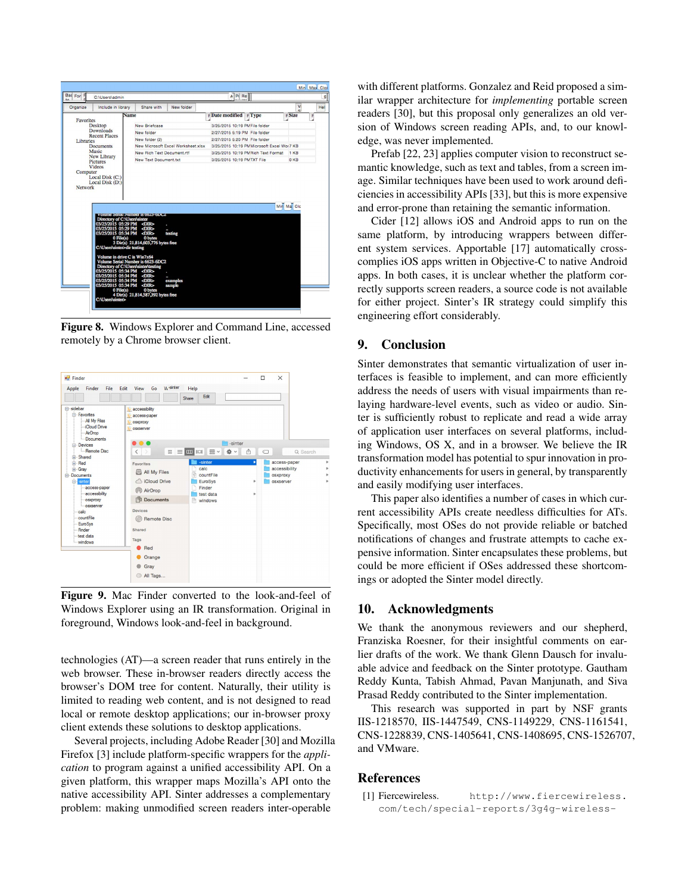| Bad For F                                | C:\Users\admin                                                                                                                                                                                                                                                                                                                         |                                               |                                    | A Pr Re                            |                                            |            |              |   |
|------------------------------------------|----------------------------------------------------------------------------------------------------------------------------------------------------------------------------------------------------------------------------------------------------------------------------------------------------------------------------------------|-----------------------------------------------|------------------------------------|------------------------------------|--------------------------------------------|------------|--------------|---|
| Organize                                 | Include in library                                                                                                                                                                                                                                                                                                                     | Share with                                    | New folder                         |                                    |                                            |            | v<br>$\circ$ |   |
|                                          | <b>Name</b>                                                                                                                                                                                                                                                                                                                            |                                               |                                    | $F$ Date modified $F$ Type         |                                            | $F$ Size   |              | F |
| <b>Favorites</b>                         | <b>Desktop</b>                                                                                                                                                                                                                                                                                                                         | New Briefcase                                 |                                    | 3/25/2015 10:19 PMFile folder      |                                            |            |              |   |
|                                          | <b>Downloads</b>                                                                                                                                                                                                                                                                                                                       | New folder                                    |                                    | 2/27/2015 5:19 PM File folder      |                                            |            |              |   |
|                                          | <b>Recent Places</b>                                                                                                                                                                                                                                                                                                                   | New folder (2)                                |                                    | 2/27/2015 5:20 PM File folder      |                                            |            |              |   |
| Libraries                                | <b>Documents</b>                                                                                                                                                                                                                                                                                                                       |                                               | New Microsoft Excel Worksheet xlsx |                                    | 3/25/2015 10:19 PMMicrosoft Excel Wor 7 KB |            |              |   |
| Music                                    | New Rich Text Document rtf                                                                                                                                                                                                                                                                                                             |                                               |                                    | 3/25/2015 10:19 PMRich Text Format | $1$ KB                                     |            |              |   |
| New Library<br><b>Pictures</b><br>Videos |                                                                                                                                                                                                                                                                                                                                        | New Text Document txt                         |                                    | 3/25/2015 10:19 PMTXT File         |                                            | 0KR        |              |   |
| Network                                  | Local Disk (D:)<br>Volume Serial Number Is 0023-01/02<br>Directory of C:\Users\sinter<br>03/25/2015 05:29 PM <dir></dir>                                                                                                                                                                                                               |                                               |                                    |                                    |                                            | Min Ma Clo |              |   |
|                                          | 03/25/2015 05:29 PM <dir><br/>03/25/2015 05:34 PM <dir><br/><math>0</math> File(<math>s</math>)<br/>C:\Users\sinter&gt;dir testing<br/>Volume in drive C is Win7x64<br/>Volume Serial Number is 6623-6DC2<br/>Directory of C:\Users\sinter\testing<br/>03/25/2015 05:34 PM <dir><br/>03/25/2015 05:34 PM <dir></dir></dir></dir></dir> | 0 bytes<br>3 Dir(s) 21,814,603,776 bytes free | testing                            |                                    |                                            |            |              |   |
|                                          | 03/25/2015 05:34 PM <dir><br/>03/25/2015 05:34 PM <dir><br/><math>0</math> File(s)</dir></dir>                                                                                                                                                                                                                                         | 0 bytes                                       | examples<br>sample                 |                                    |                                            |            |              |   |

Figure 8. Windows Explorer and Command Line, accessed remotely by a Chrome browser client.



Figure 9. Mac Finder converted to the look-and-feel of Windows Explorer using an IR transformation. Original in foreground, Windows look-and-feel in background.

technologies (AT)—a screen reader that runs entirely in the web browser. These in-browser readers directly access the browser's DOM tree for content. Naturally, their utility is limited to reading web content, and is not designed to read local or remote desktop applications; our in-browser proxy client extends these solutions to desktop applications.

Several projects, including Adobe Reader [30] and Mozilla Firefox [3] include platform-specific wrappers for the *application* to program against a unified accessibility API. On a given platform, this wrapper maps Mozilla's API onto the native accessibility API. Sinter addresses a complementary problem: making unmodified screen readers inter-operable

with different platforms. Gonzalez and Reid proposed a similar wrapper architecture for *implementing* portable screen readers [30], but this proposal only generalizes an old version of Windows screen reading APIs, and, to our knowledge, was never implemented.

Prefab [22, 23] applies computer vision to reconstruct semantic knowledge, such as text and tables, from a screen image. Similar techniques have been used to work around deficiencies in accessibility APIs [33], but this is more expensive and error-prone than retaining the semantic information.

Cider [12] allows iOS and Android apps to run on the same platform, by introducing wrappers between different system services. Apportable [17] automatically crosscomplies iOS apps written in Objective-C to native Android apps. In both cases, it is unclear whether the platform correctly supports screen readers, a source code is not available for either project. Sinter's IR strategy could simplify this engineering effort considerably.

## 9. Conclusion

Sinter demonstrates that semantic virtualization of user interfaces is feasible to implement, and can more efficiently address the needs of users with visual impairments than relaying hardware-level events, such as video or audio. Sinter is sufficiently robust to replicate and read a wide array of application user interfaces on several platforms, including Windows, OS X, and in a browser. We believe the IR transformation model has potential to spur innovation in productivity enhancements for users in general, by transparently and easily modifying user interfaces.

This paper also identifies a number of cases in which current accessibility APIs create needless difficulties for ATs. Specifically, most OSes do not provide reliable or batched notifications of changes and frustrate attempts to cache expensive information. Sinter encapsulates these problems, but could be more efficient if OSes addressed these shortcomings or adopted the Sinter model directly.

#### 10. Acknowledgments

We thank the anonymous reviewers and our shepherd, Franziska Roesner, for their insightful comments on earlier drafts of the work. We thank Glenn Dausch for invaluable advice and feedback on the Sinter prototype. Gautham Reddy Kunta, Tabish Ahmad, Pavan Manjunath, and Siva Prasad Reddy contributed to the Sinter implementation.

This research was supported in part by NSF grants IIS-1218570, IIS-1447549, CNS-1149229, CNS-1161541, CNS-1228839, CNS-1405641, CNS-1408695, CNS-1526707, and VMware.

## **References**

[1] Fiercewireless. http://www.fiercewireless. com/tech/special-reports/3g4g-wireless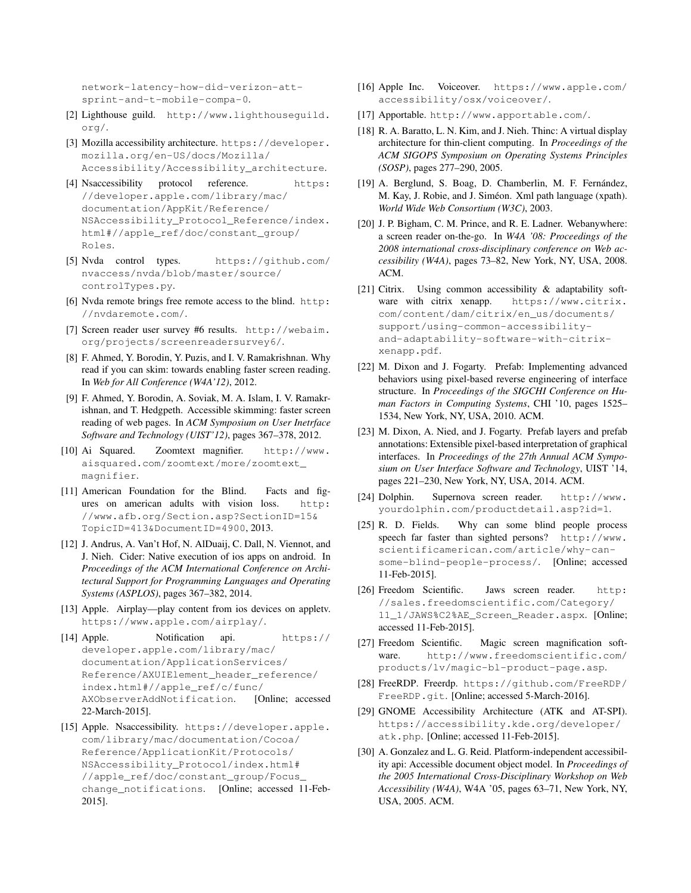network-latency-how-did-verizon-attsprint-and-t-mobile-compa-0.

- [2] Lighthouse guild. http://www.lighthouseguild. org/.
- [3] Mozilla accessibility architecture. https://developer. mozilla.org/en-US/docs/Mozilla/ Accessibility/Accessibility\_architecture.
- [4] Nsaccessibility protocol reference. https: //developer.apple.com/library/mac/ documentation/AppKit/Reference/ NSAccessibility\_Protocol\_Reference/index. html#//apple\_ref/doc/constant\_group/ Roles.
- [5] Nvda control types. https://github.com/ nvaccess/nvda/blob/master/source/ controlTypes.py.
- [6] Nvda remote brings free remote access to the blind. http: //nvdaremote.com/.
- [7] Screen reader user survey #6 results. http://webaim. org/projects/screenreadersurvey6/.
- [8] F. Ahmed, Y. Borodin, Y. Puzis, and I. V. Ramakrishnan. Why read if you can skim: towards enabling faster screen reading. In *Web for All Conference (W4A'12)*, 2012.
- [9] F. Ahmed, Y. Borodin, A. Soviak, M. A. Islam, I. V. Ramakrishnan, and T. Hedgpeth. Accessible skimming: faster screen reading of web pages. In *ACM Symposium on User Inetrface Software and Technology (UIST'12)*, pages 367–378, 2012.
- [10] Ai Squared. Zoomtext magnifier. http://www. aisquared.com/zoomtext/more/zoomtext\_ magnifier.
- [11] American Foundation for the Blind. Facts and figures on american adults with vision loss. http: //www.afb.org/Section.asp?SectionID=15& TopicID=413&DocumentID=4900, 2013.
- [12] J. Andrus, A. Van't Hof, N. AlDuaij, C. Dall, N. Viennot, and J. Nieh. Cider: Native execution of ios apps on android. In *Proceedings of the ACM International Conference on Architectural Support for Programming Languages and Operating Systems (ASPLOS)*, pages 367–382, 2014.
- [13] Apple. Airplay—play content from ios devices on applety. https://www.apple.com/airplay/.
- [14] Apple. Notification api. https:// developer.apple.com/library/mac/ documentation/ApplicationServices/ Reference/AXUIElement\_header\_reference/ index.html#//apple\_ref/c/func/ AXObserverAddNotification. [Online; accessed 22-March-2015].
- [15] Apple. Nsaccessibility. https://developer.apple. com/library/mac/documentation/Cocoa/ Reference/ApplicationKit/Protocols/ NSAccessibility\_Protocol/index.html# //apple\_ref/doc/constant\_group/Focus\_ change\_notifications. [Online; accessed 11-Feb-2015].
- [16] Apple Inc. Voiceover. https://www.apple.com/ accessibility/osx/voiceover/.
- [17] Apportable. http://www.apportable.com/.
- [18] R. A. Baratto, L. N. Kim, and J. Nieh. Thinc: A virtual display architecture for thin-client computing. In *Proceedings of the ACM SIGOPS Symposium on Operating Systems Principles (SOSP)*, pages 277–290, 2005.
- [19] A. Berglund, S. Boag, D. Chamberlin, M. F. Fernández, M. Kay, J. Robie, and J. Siméon. Xml path language (xpath). *World Wide Web Consortium (W3C)*, 2003.
- [20] J. P. Bigham, C. M. Prince, and R. E. Ladner. Webanywhere: a screen reader on-the-go. In *W4A '08: Proceedings of the 2008 international cross-disciplinary conference on Web accessibility (W4A)*, pages 73–82, New York, NY, USA, 2008. ACM.
- [21] Citrix. Using common accessibility & adaptability software with citrix xenapp. https://www.citrix. com/content/dam/citrix/en\_us/documents/ support/using-common-accessibilityand-adaptability-software-with-citrixxenapp.pdf.
- [22] M. Dixon and J. Fogarty. Prefab: Implementing advanced behaviors using pixel-based reverse engineering of interface structure. In *Proceedings of the SIGCHI Conference on Human Factors in Computing Systems*, CHI '10, pages 1525– 1534, New York, NY, USA, 2010. ACM.
- [23] M. Dixon, A. Nied, and J. Fogarty. Prefab layers and prefab annotations: Extensible pixel-based interpretation of graphical interfaces. In *Proceedings of the 27th Annual ACM Symposium on User Interface Software and Technology*, UIST '14, pages 221–230, New York, NY, USA, 2014. ACM.
- [24] Dolphin. Supernova screen reader. http://www. yourdolphin.com/productdetail.asp?id=1.
- [25] R. D. Fields. Why can some blind people process speech far faster than sighted persons? http://www. scientificamerican.com/article/why-cansome-blind-people-process/. [Online; accessed 11-Feb-2015].
- [26] Freedom Scientific. Jaws screen reader. http: //sales.freedomscientific.com/Category/ 11\_1/JAWS%C2%AE\_Screen\_Reader.aspx. [Online; accessed 11-Feb-2015].
- [27] Freedom Scientific. Magic screen magnification software. http://www.freedomscientific.com/ products/lv/magic-bl-product-page.asp.
- [28] FreeRDP. Freerdp. https://github.com/FreeRDP/ FreeRDP.git. [Online; accessed 5-March-2016].
- [29] GNOME Accessibility Architecture (ATK and AT-SPI). https://accessibility.kde.org/developer/ atk.php. [Online; accessed 11-Feb-2015].
- [30] A. Gonzalez and L. G. Reid. Platform-independent accessibility api: Accessible document object model. In *Proceedings of the 2005 International Cross-Disciplinary Workshop on Web Accessibility (W4A)*, W4A '05, pages 63–71, New York, NY, USA, 2005. ACM.